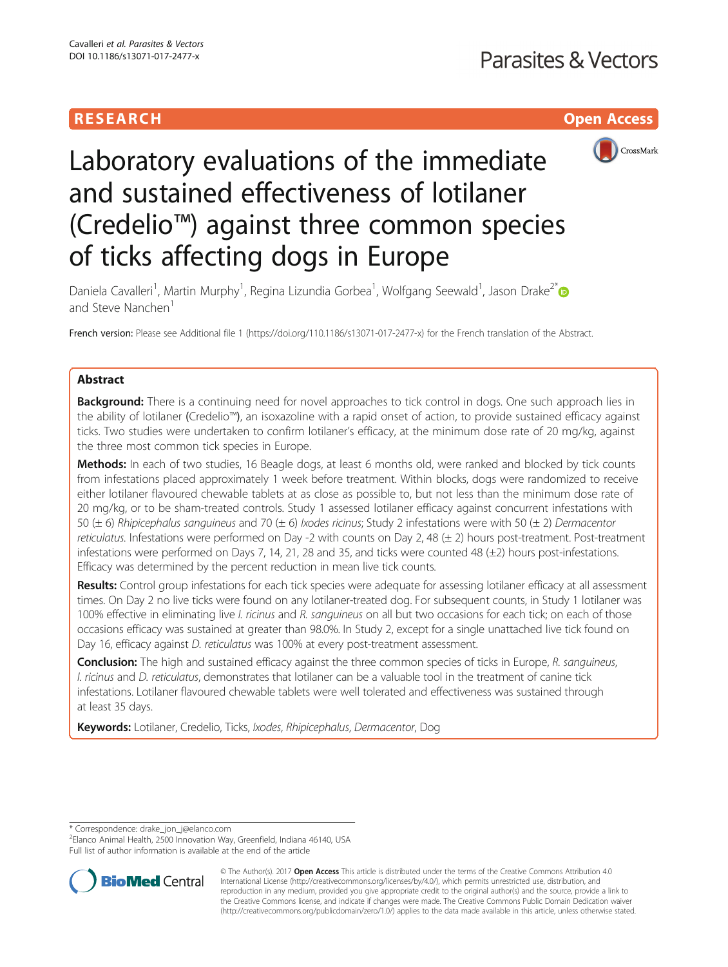# **RESEARCH CHILD CONTROL** CONTROL CONTROL CONTROL CONTROL CONTROL CONTROL CONTROL CONTROL CONTROL CONTROL CONTROL



# Laboratory evaluations of the immediate and sustained effectiveness of lotilaner (Credelio™) against three common species of ticks affecting dogs in Europe

Daniela Cavalleri<sup>1</sup>, Martin Murphy<sup>1</sup>, Regina Lizundia Gorbea<sup>1</sup>, Wolfgang Seewald<sup>1</sup>, Jason Drake<sup>2\*</sup> and Steve Nanchen<sup>1</sup>

French version: Please see Additional file [1](#page-5-0) (<https://doi.org/110.1186/s13071-017-2477-x>) for the French translation of the Abstract.

# Abstract

**Background:** There is a continuing need for novel approaches to tick control in dogs. One such approach lies in the ability of lotilaner (Credelio™), an isoxazoline with a rapid onset of action, to provide sustained efficacy against ticks. Two studies were undertaken to confirm lotilaner's efficacy, at the minimum dose rate of 20 mg/kg, against the three most common tick species in Europe.

Methods: In each of two studies, 16 Beagle dogs, at least 6 months old, were ranked and blocked by tick counts from infestations placed approximately 1 week before treatment. Within blocks, dogs were randomized to receive either lotilaner flavoured chewable tablets at as close as possible to, but not less than the minimum dose rate of 20 mg/kg, or to be sham-treated controls. Study 1 assessed lotilaner efficacy against concurrent infestations with 50 ( $\pm$  6) Rhipicephalus sanguineus and 70 ( $\pm$  6) Ixodes ricinus; Study 2 infestations were with 50 ( $\pm$  2) Dermacentor reticulatus. Infestations were performed on Day -2 with counts on Day 2, 48  $(\pm 2)$  hours post-treatment. Post-treatment infestations were performed on Days 7, 14, 21, 28 and 35, and ticks were counted 48 (±2) hours post-infestations. Efficacy was determined by the percent reduction in mean live tick counts.

Results: Control group infestations for each tick species were adequate for assessing lotilaner efficacy at all assessment times. On Day 2 no live ticks were found on any lotilaner-treated dog. For subsequent counts, in Study 1 lotilaner was 100% effective in eliminating live *I. ricinus* and R, *sanguineus* on all but two occasions for each tick; on each of those occasions efficacy was sustained at greater than 98.0%. In Study 2, except for a single unattached live tick found on Day 16, efficacy against *D. reticulatus* was 100% at every post-treatment assessment.

**Conclusion:** The high and sustained efficacy against the three common species of ticks in Europe, R. sanguineus, I. ricinus and D. reticulatus, demonstrates that lotilaner can be a valuable tool in the treatment of canine tick infestations. Lotilaner flavoured chewable tablets were well tolerated and effectiveness was sustained through at least 35 days.

Keywords: Lotilaner, Credelio, Ticks, Ixodes, Rhipicephalus, Dermacentor, Dog

\* Correspondence: [drake\\_jon\\_j@elanco.com](mailto:drake_jon_j@elanco.com) <sup>2</sup>

<sup>2</sup> Elanco Animal Health, 2500 Innovation Way, Greenfield, Indiana 46140, USA Full list of author information is available at the end of the article



© The Author(s). 2017 **Open Access** This article is distributed under the terms of the Creative Commons Attribution 4.0 International License [\(http://creativecommons.org/licenses/by/4.0/](http://creativecommons.org/licenses/by/4.0/)), which permits unrestricted use, distribution, and reproduction in any medium, provided you give appropriate credit to the original author(s) and the source, provide a link to the Creative Commons license, and indicate if changes were made. The Creative Commons Public Domain Dedication waiver [\(http://creativecommons.org/publicdomain/zero/1.0/](http://creativecommons.org/publicdomain/zero/1.0/)) applies to the data made available in this article, unless otherwise stated.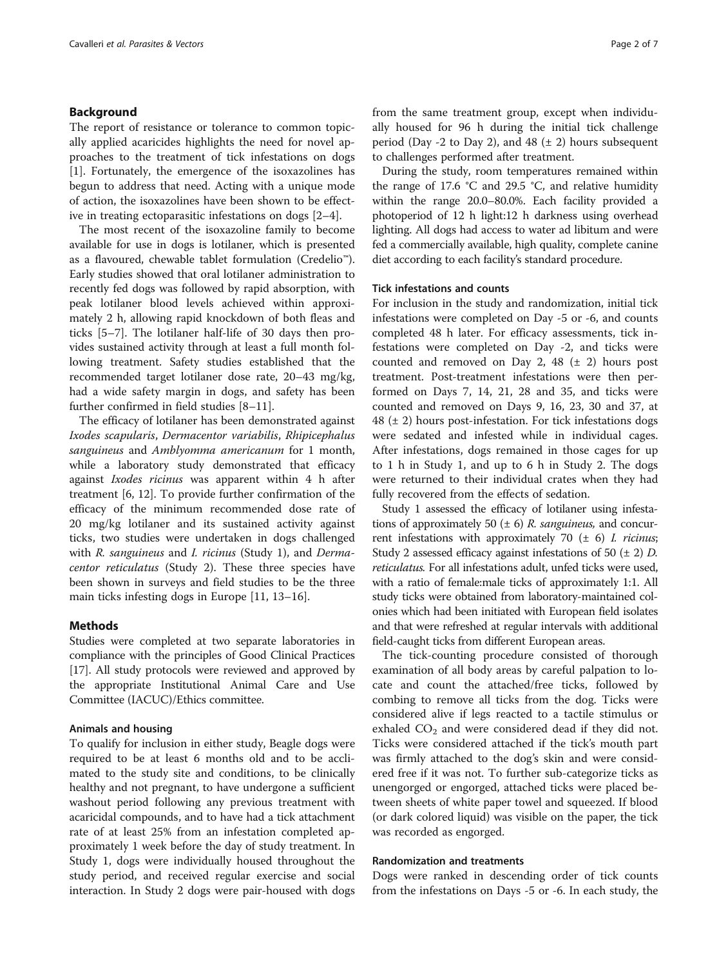# Background

The report of resistance or tolerance to common topically applied acaricides highlights the need for novel approaches to the treatment of tick infestations on dogs [[1\]](#page-6-0). Fortunately, the emergence of the isoxazolines has begun to address that need. Acting with a unique mode of action, the isoxazolines have been shown to be effective in treating ectoparasitic infestations on dogs [[2](#page-6-0)–[4\]](#page-6-0).

The most recent of the isoxazoline family to become available for use in dogs is lotilaner, which is presented as a flavoured, chewable tablet formulation (Credelio™). Early studies showed that oral lotilaner administration to recently fed dogs was followed by rapid absorption, with peak lotilaner blood levels achieved within approximately 2 h, allowing rapid knockdown of both fleas and ticks [[5](#page-6-0)–[7\]](#page-6-0). The lotilaner half-life of 30 days then provides sustained activity through at least a full month following treatment. Safety studies established that the recommended target lotilaner dose rate, 20–43 mg/kg, had a wide safety margin in dogs, and safety has been further confirmed in field studies [[8](#page-6-0)–[11](#page-6-0)].

The efficacy of lotilaner has been demonstrated against Ixodes scapularis, Dermacentor variabilis, Rhipicephalus sanguineus and Amblyomma americanum for 1 month, while a laboratory study demonstrated that efficacy against Ixodes ricinus was apparent within 4 h after treatment [[6, 12\]](#page-6-0). To provide further confirmation of the efficacy of the minimum recommended dose rate of 20 mg/kg lotilaner and its sustained activity against ticks, two studies were undertaken in dogs challenged with R. sanguineus and I. ricinus (Study 1), and Dermacentor reticulatus (Study 2). These three species have been shown in surveys and field studies to be the three main ticks infesting dogs in Europe [[11, 13](#page-6-0)–[16](#page-6-0)].

# **Methods**

Studies were completed at two separate laboratories in compliance with the principles of Good Clinical Practices [[17](#page-6-0)]. All study protocols were reviewed and approved by the appropriate Institutional Animal Care and Use Committee (IACUC)/Ethics committee.

#### Animals and housing

To qualify for inclusion in either study, Beagle dogs were required to be at least 6 months old and to be acclimated to the study site and conditions, to be clinically healthy and not pregnant, to have undergone a sufficient washout period following any previous treatment with acaricidal compounds, and to have had a tick attachment rate of at least 25% from an infestation completed approximately 1 week before the day of study treatment. In Study 1, dogs were individually housed throughout the study period, and received regular exercise and social interaction. In Study 2 dogs were pair-housed with dogs from the same treatment group, except when individually housed for 96 h during the initial tick challenge period (Day -2 to Day 2), and  $48 (\pm 2)$  hours subsequent to challenges performed after treatment.

During the study, room temperatures remained within the range of 17.6  $\degree$ C and 29.5  $\degree$ C, and relative humidity within the range 20.0–80.0%. Each facility provided a photoperiod of 12 h light:12 h darkness using overhead lighting. All dogs had access to water ad libitum and were fed a commercially available, high quality, complete canine diet according to each facility's standard procedure.

#### Tick infestations and counts

For inclusion in the study and randomization, initial tick infestations were completed on Day -5 or -6, and counts completed 48 h later. For efficacy assessments, tick infestations were completed on Day -2, and ticks were counted and removed on Day 2, 48  $(\pm 2)$  hours post treatment. Post-treatment infestations were then performed on Days 7, 14, 21, 28 and 35, and ticks were counted and removed on Days 9, 16, 23, 30 and 37, at  $48$  ( $\pm$  2) hours post-infestation. For tick infestations dogs were sedated and infested while in individual cages. After infestations, dogs remained in those cages for up to 1 h in Study 1, and up to 6 h in Study 2. The dogs were returned to their individual crates when they had fully recovered from the effects of sedation.

Study 1 assessed the efficacy of lotilaner using infestations of approximately 50  $(\pm 6)$  *R. sanguineus*, and concurrent infestations with approximately 70  $(\pm 6)$  *I. ricinus*; Study 2 assessed efficacy against infestations of 50  $(\pm 2)$  D. reticulatus. For all infestations adult, unfed ticks were used, with a ratio of female:male ticks of approximately 1:1. All study ticks were obtained from laboratory-maintained colonies which had been initiated with European field isolates and that were refreshed at regular intervals with additional field-caught ticks from different European areas.

The tick-counting procedure consisted of thorough examination of all body areas by careful palpation to locate and count the attached/free ticks, followed by combing to remove all ticks from the dog. Ticks were considered alive if legs reacted to a tactile stimulus or exhaled  $CO<sub>2</sub>$  and were considered dead if they did not. Ticks were considered attached if the tick's mouth part was firmly attached to the dog's skin and were considered free if it was not. To further sub-categorize ticks as unengorged or engorged, attached ticks were placed between sheets of white paper towel and squeezed. If blood (or dark colored liquid) was visible on the paper, the tick was recorded as engorged.

#### Randomization and treatments

Dogs were ranked in descending order of tick counts from the infestations on Days -5 or -6. In each study, the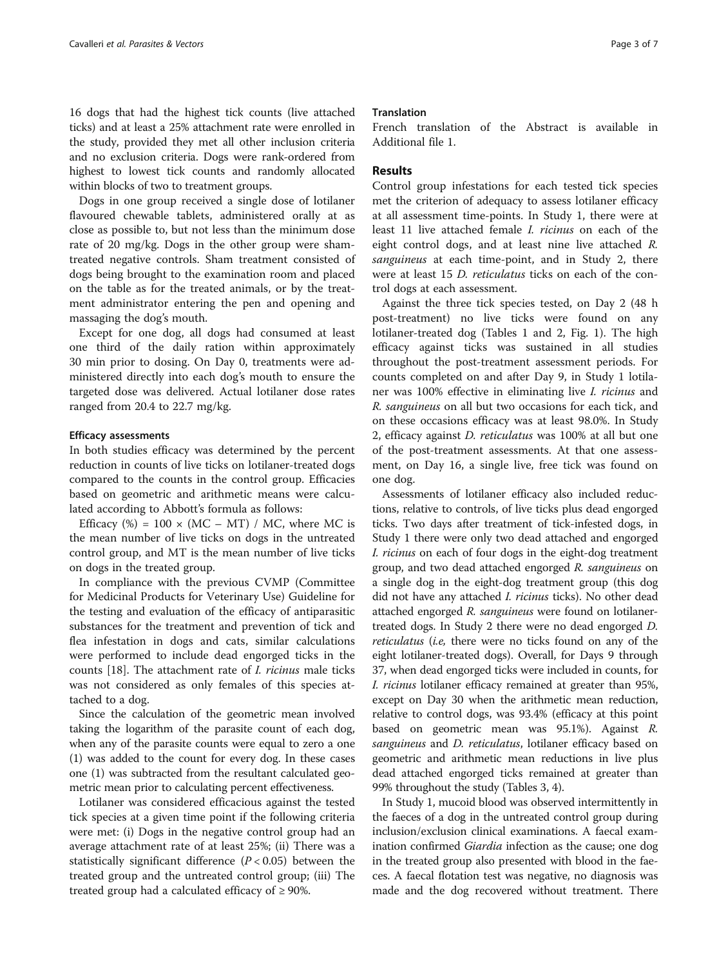16 dogs that had the highest tick counts (live attached ticks) and at least a 25% attachment rate were enrolled in the study, provided they met all other inclusion criteria and no exclusion criteria. Dogs were rank-ordered from highest to lowest tick counts and randomly allocated within blocks of two to treatment groups.

Dogs in one group received a single dose of lotilaner flavoured chewable tablets, administered orally at as close as possible to, but not less than the minimum dose rate of 20 mg/kg. Dogs in the other group were shamtreated negative controls. Sham treatment consisted of dogs being brought to the examination room and placed on the table as for the treated animals, or by the treatment administrator entering the pen and opening and massaging the dog's mouth.

Except for one dog, all dogs had consumed at least one third of the daily ration within approximately 30 min prior to dosing. On Day 0, treatments were administered directly into each dog's mouth to ensure the targeted dose was delivered. Actual lotilaner dose rates ranged from 20.4 to 22.7 mg/kg.

#### Efficacy assessments

In both studies efficacy was determined by the percent reduction in counts of live ticks on lotilaner-treated dogs compared to the counts in the control group. Efficacies based on geometric and arithmetic means were calculated according to Abbott's formula as follows:

Efficacy (%) =  $100 \times (MC - MT) / MC$ , where MC is the mean number of live ticks on dogs in the untreated control group, and MT is the mean number of live ticks on dogs in the treated group.

In compliance with the previous CVMP (Committee for Medicinal Products for Veterinary Use) Guideline for the testing and evaluation of the efficacy of antiparasitic substances for the treatment and prevention of tick and flea infestation in dogs and cats, similar calculations were performed to include dead engorged ticks in the counts [[18](#page-6-0)]. The attachment rate of I. ricinus male ticks was not considered as only females of this species attached to a dog.

Since the calculation of the geometric mean involved taking the logarithm of the parasite count of each dog, when any of the parasite counts were equal to zero a one (1) was added to the count for every dog. In these cases one (1) was subtracted from the resultant calculated geometric mean prior to calculating percent effectiveness.

Lotilaner was considered efficacious against the tested tick species at a given time point if the following criteria were met: (i) Dogs in the negative control group had an average attachment rate of at least 25%; (ii) There was a statistically significant difference  $(P < 0.05)$  between the treated group and the untreated control group; (iii) The treated group had a calculated efficacy of  $\geq$  90%.

#### **Translation**

French translation of the Abstract is available in Additional file [1](#page-5-0).

### Results

Control group infestations for each tested tick species met the criterion of adequacy to assess lotilaner efficacy at all assessment time-points. In Study 1, there were at least 11 live attached female I. ricinus on each of the eight control dogs, and at least nine live attached R. sanguineus at each time-point, and in Study 2, there were at least 15 D. reticulatus ticks on each of the control dogs at each assessment.

Against the three tick species tested, on Day 2 (48 h post-treatment) no live ticks were found on any lotilaner-treated dog (Tables [1](#page-3-0) and [2,](#page-3-0) Fig. [1\)](#page-4-0). The high efficacy against ticks was sustained in all studies throughout the post-treatment assessment periods. For counts completed on and after Day 9, in Study 1 lotilaner was 100% effective in eliminating live I. ricinus and R. sanguineus on all but two occasions for each tick, and on these occasions efficacy was at least 98.0%. In Study 2, efficacy against D. reticulatus was 100% at all but one of the post-treatment assessments. At that one assessment, on Day 16, a single live, free tick was found on one dog.

Assessments of lotilaner efficacy also included reductions, relative to controls, of live ticks plus dead engorged ticks. Two days after treatment of tick-infested dogs, in Study 1 there were only two dead attached and engorged I. ricinus on each of four dogs in the eight-dog treatment group, and two dead attached engorged R. sanguineus on a single dog in the eight-dog treatment group (this dog did not have any attached *I. ricinus* ticks). No other dead attached engorged R. sanguineus were found on lotilanertreated dogs. In Study 2 there were no dead engorged D. reticulatus (i.e, there were no ticks found on any of the eight lotilaner-treated dogs). Overall, for Days 9 through 37, when dead engorged ticks were included in counts, for I. ricinus lotilaner efficacy remained at greater than 95%, except on Day 30 when the arithmetic mean reduction, relative to control dogs, was 93.4% (efficacy at this point based on geometric mean was 95.1%). Against R. sanguineus and *D. reticulatus*, lotilaner efficacy based on geometric and arithmetic mean reductions in live plus dead attached engorged ticks remained at greater than 99% throughout the study (Tables [3](#page-4-0), [4\)](#page-5-0).

In Study 1, mucoid blood was observed intermittently in the faeces of a dog in the untreated control group during inclusion/exclusion clinical examinations. A faecal examination confirmed *Giardia* infection as the cause; one dog in the treated group also presented with blood in the faeces. A faecal flotation test was negative, no diagnosis was made and the dog recovered without treatment. There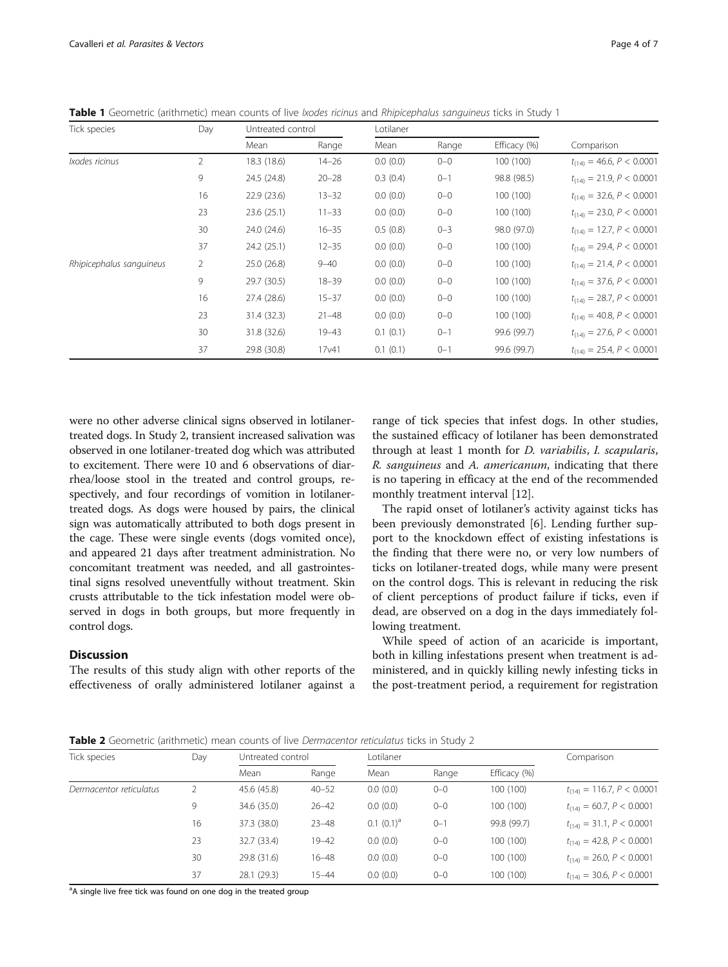| Tick species             | Day            | Untreated control |                   | Lotilaner |         |              |                               |
|--------------------------|----------------|-------------------|-------------------|-----------|---------|--------------|-------------------------------|
|                          |                | Mean              | Range             | Mean      | Range   | Efficacy (%) | Comparison                    |
| Ixodes ricinus           | $\overline{2}$ | 18.3 (18.6)       | $14 - 26$         | 0.0(0.0)  | $0 - 0$ | 100(100)     | $t_{(14)} = 46.6, P < 0.0001$ |
|                          | 9              | 24.5 (24.8)       | $20 - 28$         | 0.3(0.4)  | $0 - 1$ | 98.8 (98.5)  | $t_{(14)} = 21.9, P < 0.0001$ |
|                          | 16             | 22.9(23.6)        | $13 - 32$         | 0.0(0.0)  | $0 - 0$ | 100 (100)    | $t_{(14)} = 32.6, P < 0.0001$ |
|                          | 23             | 23.6(25.1)        | $11 - 33$         | 0.0(0.0)  | $0 - 0$ | 100(100)     | $t_{(14)} = 23.0, P < 0.0001$ |
|                          | 30             | 24.0 (24.6)       | $16 - 35$         | 0.5(0.8)  | $0 - 3$ | 98.0 (97.0)  | $t_{(14)} = 12.7, P < 0.0001$ |
|                          | 37             | 24.2 (25.1)       | $12 - 35$         | 0.0(0.0)  | $0 - 0$ | 100 (100)    | $t_{(14)} = 29.4, P < 0.0001$ |
| Rhipicephalus sanguineus | 2              | 25.0(26.8)        | $9 - 40$          | 0.0(0.0)  | $0 - 0$ | 100 (100)    | $t_{(14)} = 21.4, P < 0.0001$ |
|                          | 9              | 29.7 (30.5)       | $18 - 39$         | 0.0(0.0)  | $0 - 0$ | 100(100)     | $t_{(14)} = 37.6, P < 0.0001$ |
|                          | 16             | 27.4 (28.6)       | $15 - 37$         | 0.0(0.0)  | $0 - 0$ | 100 (100)    | $t_{(14)} = 28.7, P < 0.0001$ |
|                          | 23             | 31.4 (32.3)       | $21 - 48$         | 0.0(0.0)  | $0 - 0$ | 100 (100)    | $t_{(14)} = 40.8, P < 0.0001$ |
|                          | 30             | 31.8 (32.6)       | $19 - 43$         | 0.1(0.1)  | $0 - 1$ | 99.6 (99.7)  | $t_{(14)} = 27.6, P < 0.0001$ |
|                          | 37             | 29.8 (30.8)       | 17 <sub>v41</sub> | 0.1(0.1)  | $0 - 1$ | 99.6 (99.7)  | $t_{(14)} = 25.4, P < 0.0001$ |

<span id="page-3-0"></span>Table 1 Geometric (arithmetic) mean counts of live *Ixodes ricinus* and Rhipicephalus sanguineus ticks in Study 1

were no other adverse clinical signs observed in lotilanertreated dogs. In Study 2, transient increased salivation was observed in one lotilaner-treated dog which was attributed to excitement. There were 10 and 6 observations of diarrhea/loose stool in the treated and control groups, respectively, and four recordings of vomition in lotilanertreated dogs. As dogs were housed by pairs, the clinical sign was automatically attributed to both dogs present in the cage. These were single events (dogs vomited once), and appeared 21 days after treatment administration. No concomitant treatment was needed, and all gastrointestinal signs resolved uneventfully without treatment. Skin crusts attributable to the tick infestation model were observed in dogs in both groups, but more frequently in control dogs.

# Discussion

The results of this study align with other reports of the effectiveness of orally administered lotilaner against a range of tick species that infest dogs. In other studies, the sustained efficacy of lotilaner has been demonstrated through at least 1 month for D. variabilis, I. scapularis, R. sanguineus and A. americanum, indicating that there is no tapering in efficacy at the end of the recommended monthly treatment interval [[12\]](#page-6-0).

The rapid onset of lotilaner's activity against ticks has been previously demonstrated [[6\]](#page-6-0). Lending further support to the knockdown effect of existing infestations is the finding that there were no, or very low numbers of ticks on lotilaner-treated dogs, while many were present on the control dogs. This is relevant in reducing the risk of client perceptions of product failure if ticks, even if dead, are observed on a dog in the days immediately following treatment.

While speed of action of an acaricide is important, both in killing infestations present when treatment is administered, and in quickly killing newly infesting ticks in the post-treatment period, a requirement for registration

**Table 2** Geometric (arithmetic) mean counts of live *Dermacentor reticulatus* ticks in Study 2

| Tick species            | Day | Untreated control |           | Lotilaner     |         |              | Comparison                     |
|-------------------------|-----|-------------------|-----------|---------------|---------|--------------|--------------------------------|
|                         |     | Mean              | Range     | Mean          | Range   | Efficacy (%) |                                |
| Dermacentor reticulatus |     | 45.6 (45.8)       | $40 - 52$ | 0.0(0.0)      | $0 - 0$ | 100 (100)    | $t_{(14)} = 116.7, P < 0.0001$ |
|                         | 9   | 34.6 (35.0)       | $26 - 42$ | 0.0(0.0)      | $0 - 0$ | 100 (100)    | $t_{(14)} = 60.7, P < 0.0001$  |
|                         | 16  | 37.3 (38.0)       | $23 - 48$ | $0.1 (0.1)^a$ | $0 - 1$ | 99.8 (99.7)  | $t_{(14)} = 31.1, P < 0.0001$  |
|                         | 23  | 32.7 (33.4)       | $19 - 42$ | 0.0(0.0)      | $0 - 0$ | 100 (100)    | $t_{(14)} = 42.8, P < 0.0001$  |
|                         | 30  | 29.8 (31.6)       | $16 - 48$ | 0.0(0.0)      | $0 - 0$ | 100 (100)    | $t_{(14)} = 26.0, P < 0.0001$  |
|                         | 37  | 28.1 (29.3)       | $15 - 44$ | 0.0(0.0)      | $0 - 0$ | 100 (100)    | $t_{(14)} = 30.6, P < 0.0001$  |

<sup>a</sup>A single live free tick was found on one dog in the treated group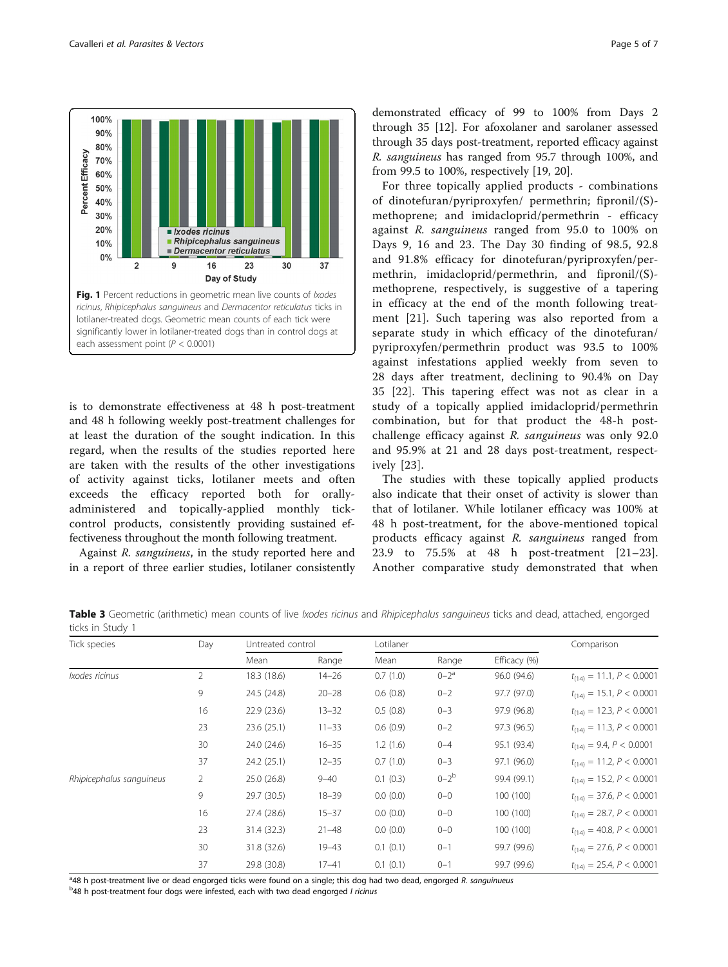<span id="page-4-0"></span>

is to demonstrate effectiveness at 48 h post-treatment and 48 h following weekly post-treatment challenges for at least the duration of the sought indication. In this regard, when the results of the studies reported here are taken with the results of the other investigations of activity against ticks, lotilaner meets and often exceeds the efficacy reported both for orallyadministered and topically-applied monthly tickcontrol products, consistently providing sustained effectiveness throughout the month following treatment.

Against R. sanguineus, in the study reported here and in a report of three earlier studies, lotilaner consistently

demonstrated efficacy of 99 to 100% from Days 2 through 35 [\[12\]](#page-6-0). For afoxolaner and sarolaner assessed through 35 days post-treatment, reported efficacy against R. sanguineus has ranged from 95.7 through 100%, and from 99.5 to 100%, respectively [[19, 20\]](#page-6-0).

For three topically applied products - combinations of dinotefuran/pyriproxyfen/ permethrin; fipronil/(S) methoprene; and imidacloprid/permethrin - efficacy against R. sanguineus ranged from 95.0 to 100% on Days 9, 16 and 23. The Day 30 finding of 98.5, 92.8 and 91.8% efficacy for dinotefuran/pyriproxyfen/permethrin, imidacloprid/permethrin, and fipronil/(S) methoprene, respectively, is suggestive of a tapering in efficacy at the end of the month following treatment [\[21\]](#page-6-0). Such tapering was also reported from a separate study in which efficacy of the dinotefuran/ pyriproxyfen/permethrin product was 93.5 to 100% against infestations applied weekly from seven to 28 days after treatment, declining to 90.4% on Day 35 [[22\]](#page-6-0). This tapering effect was not as clear in a study of a topically applied imidacloprid/permethrin combination, but for that product the 48-h postchallenge efficacy against R. sanguineus was only 92.0 and 95.9% at 21 and 28 days post-treatment, respectively [[23](#page-6-0)].

The studies with these topically applied products also indicate that their onset of activity is slower than that of lotilaner. While lotilaner efficacy was 100% at 48 h post-treatment, for the above-mentioned topical products efficacy against R. sanguineus ranged from 23.9 to 75.5% at 48 h post-treatment [\[21](#page-6-0)–[23](#page-6-0)]. Another comparative study demonstrated that when

Table 3 Geometric (arithmetic) mean counts of live Ixodes ricinus and Rhipicephalus sanguineus ticks and dead, attached, engorged ticks in Study 1

| Tick species             | Day            | Untreated control |           | Lotilaner |             |              | Comparison                    |
|--------------------------|----------------|-------------------|-----------|-----------|-------------|--------------|-------------------------------|
|                          |                | Mean              | Range     | Mean      | Range       | Efficacy (%) |                               |
| Ixodes ricinus           | $\overline{2}$ | 18.3 (18.6)       | $14 - 26$ | 0.7(1.0)  | $0 - 2^a$   | 96.0 (94.6)  | $t_{(14)} = 11.1, P < 0.0001$ |
|                          | 9              | 24.5 (24.8)       | $20 - 28$ | 0.6(0.8)  | $0 - 2$     | 97.7 (97.0)  | $t_{(14)} = 15.1, P < 0.0001$ |
|                          | 16             | 22.9(23.6)        | $13 - 32$ | 0.5(0.8)  | $0 - 3$     | 97.9 (96.8)  | $t_{(14)} = 12.3, P < 0.0001$ |
|                          | 23             | 23.6(25.1)        | $11 - 33$ | 0.6(0.9)  | $0 - 2$     | 97.3 (96.5)  | $t_{(14)} = 11.3, P < 0.0001$ |
|                          | 30             | 24.0 (24.6)       | $16 - 35$ | 1.2(1.6)  | $0 - 4$     | 95.1 (93.4)  | $t_{(14)} = 9.4, P < 0.0001$  |
|                          | 37             | 24.2(25.1)        | $12 - 35$ | 0.7(1.0)  | $0 - 3$     | 97.1 (96.0)  | $t_{(14)} = 11.2, P < 0.0001$ |
| Rhipicephalus sanguineus | $\overline{2}$ | 25.0(26.8)        | $9 - 40$  | 0.1(0.3)  | $0 - 2^{b}$ | 99.4 (99.1)  | $t_{(14)} = 15.2, P < 0.0001$ |
|                          | 9              | 29.7 (30.5)       | $18 - 39$ | 0.0(0.0)  | $0 - 0$     | 100 (100)    | $t_{(14)} = 37.6, P < 0.0001$ |
|                          | 16             | 27.4 (28.6)       | $15 - 37$ | 0.0(0.0)  | $0 - 0$     | 100 (100)    | $t_{(14)} = 28.7, P < 0.0001$ |
|                          | 23             | 31.4 (32.3)       | $21 - 48$ | 0.0(0.0)  | $0 - 0$     | 100 (100)    | $t_{(14)} = 40.8, P < 0.0001$ |
|                          | 30             | 31.8 (32.6)       | $19 - 43$ | 0.1(0.1)  | $0 - 1$     | 99.7 (99.6)  | $t_{(14)} = 27.6, P < 0.0001$ |
|                          | 37             | 29.8 (30.8)       | $17 - 41$ | 0.1(0.1)  | $0 - 1$     | 99.7 (99.6)  | $t_{(14)} = 25.4, P < 0.0001$ |

<sup>a</sup>48 h post-treatment live or dead engorged ticks were found on a single; this dog had two dead, engorged R. sanguinueus<br><sup>b</sup>48 h post-treatment four dogs were infested, each with two dead engorged Lricinus

<sup>b</sup>48 h post-treatment four dogs were infested, each with two dead engorged I ricinus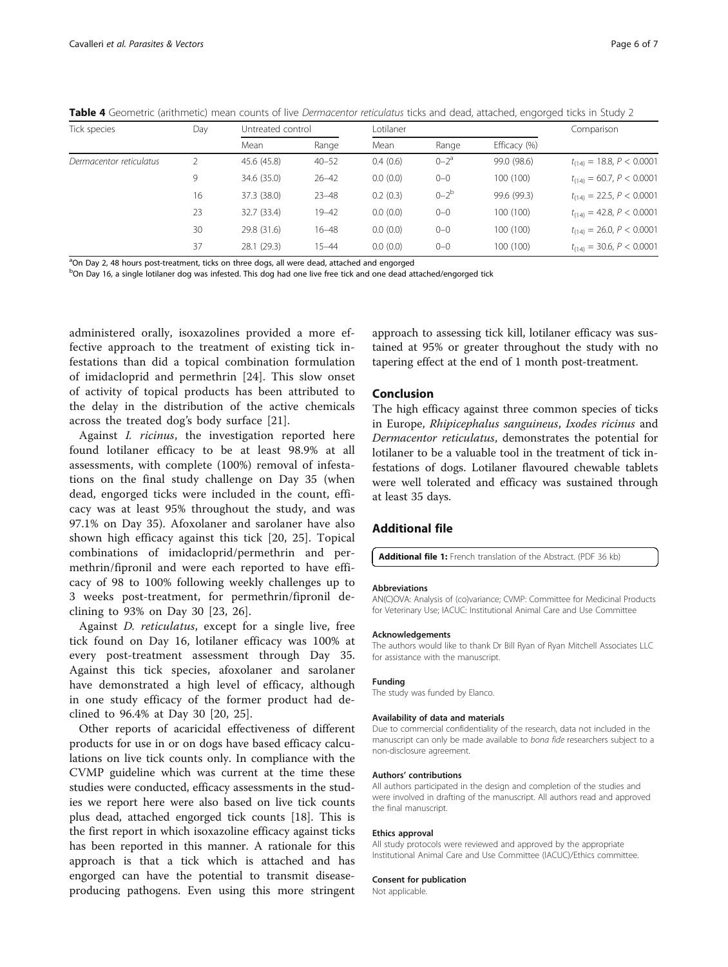<span id="page-5-0"></span>Table 4 Geometric (arithmetic) mean counts of live Dermacentor reticulatus ticks and dead, attached, engorged ticks in Study 2

| Tick species            | Day | Untreated control |           | Lotilaner |           |              | Comparison                    |
|-------------------------|-----|-------------------|-----------|-----------|-----------|--------------|-------------------------------|
|                         |     | Mean              | Range     | Mean      | Range     | Efficacy (%) |                               |
| Dermacentor reticulatus |     | 45.6 (45.8)       | $40 - 52$ | 0.4(0.6)  | $0 - 2^a$ | 99.0 (98.6)  | $t_{(14)} = 18.8, P < 0.0001$ |
|                         | 9   | 34.6 (35.0)       | $26 - 42$ | 0.0(0.0)  | $0 - 0$   | 100 (100)    | $t_{(14)} = 60.7, P < 0.0001$ |
|                         | 16  | 37.3 (38.0)       | $23 - 48$ | 0.2(0.3)  | $0-2b$    | 99.6 (99.3)  | $t_{(14)} = 22.5, P < 0.0001$ |
|                         | 23  | 32.7 (33.4)       | $19 - 42$ | 0.0(0.0)  | $0 - 0$   | 100 (100)    | $t_{(14)} = 42.8, P < 0.0001$ |
|                         | 30  | 29.8 (31.6)       | $16 - 48$ | 0.0(0.0)  | $0 - 0$   | 100 (100)    | $t_{(14)} = 26.0, P < 0.0001$ |
|                         | 37  | 28.1 (29.3)       | $15 - 44$ | 0.0(0.0)  | $0 - 0$   | 100 (100)    | $t_{(14)} = 30.6, P < 0.0001$ |

<sup>a</sup>On Day 2, 48 hours post-treatment, ticks on three dogs, all were dead, attached and engorged

<sup>b</sup>On Day 16, a single lotilaner dog was infested. This dog had one live free tick and one dead attached/engorged tick

administered orally, isoxazolines provided a more effective approach to the treatment of existing tick infestations than did a topical combination formulation of imidacloprid and permethrin [[24\]](#page-6-0). This slow onset of activity of topical products has been attributed to the delay in the distribution of the active chemicals across the treated dog's body surface [[21\]](#page-6-0).

Against I. ricinus, the investigation reported here found lotilaner efficacy to be at least 98.9% at all assessments, with complete (100%) removal of infestations on the final study challenge on Day 35 (when dead, engorged ticks were included in the count, efficacy was at least 95% throughout the study, and was 97.1% on Day 35). Afoxolaner and sarolaner have also shown high efficacy against this tick [[20, 25](#page-6-0)]. Topical combinations of imidacloprid/permethrin and permethrin/fipronil and were each reported to have efficacy of 98 to 100% following weekly challenges up to 3 weeks post-treatment, for permethrin/fipronil declining to 93% on Day 30 [[23](#page-6-0), [26](#page-6-0)].

Against D. reticulatus, except for a single live, free tick found on Day 16, lotilaner efficacy was 100% at every post-treatment assessment through Day 35. Against this tick species, afoxolaner and sarolaner have demonstrated a high level of efficacy, although in one study efficacy of the former product had declined to 96.4% at Day 30 [[20](#page-6-0), [25](#page-6-0)].

Other reports of acaricidal effectiveness of different products for use in or on dogs have based efficacy calculations on live tick counts only. In compliance with the CVMP guideline which was current at the time these studies were conducted, efficacy assessments in the studies we report here were also based on live tick counts plus dead, attached engorged tick counts [\[18](#page-6-0)]. This is the first report in which isoxazoline efficacy against ticks has been reported in this manner. A rationale for this approach is that a tick which is attached and has engorged can have the potential to transmit diseaseproducing pathogens. Even using this more stringent approach to assessing tick kill, lotilaner efficacy was sustained at 95% or greater throughout the study with no tapering effect at the end of 1 month post-treatment.

# Conclusion

The high efficacy against three common species of ticks in Europe, Rhipicephalus sanguineus, Ixodes ricinus and Dermacentor reticulatus, demonstrates the potential for lotilaner to be a valuable tool in the treatment of tick infestations of dogs. Lotilaner flavoured chewable tablets were well tolerated and efficacy was sustained through at least 35 days.

# Additional file

[Additional file 1:](dx.doi.org/10.1186/s13071-017-2477-x) French translation of the Abstract. (PDF 36 kb)

#### Abbreviations

AN(C)OVA: Analysis of (co)variance; CVMP: Committee for Medicinal Products for Veterinary Use; IACUC: Institutional Animal Care and Use Committee

#### Acknowledgements

The authors would like to thank Dr Bill Ryan of Ryan Mitchell Associates LLC for assistance with the manuscript.

#### Funding

The study was funded by Elanco.

#### Availability of data and materials

Due to commercial confidentiality of the research, data not included in the manuscript can only be made available to bona fide researchers subject to a non-disclosure agreement.

#### Authors' contributions

All authors participated in the design and completion of the studies and were involved in drafting of the manuscript. All authors read and approved the final manuscript.

#### Ethics approval

All study protocols were reviewed and approved by the appropriate Institutional Animal Care and Use Committee (IACUC)/Ethics committee.

#### Consent for publication

Not applicable.